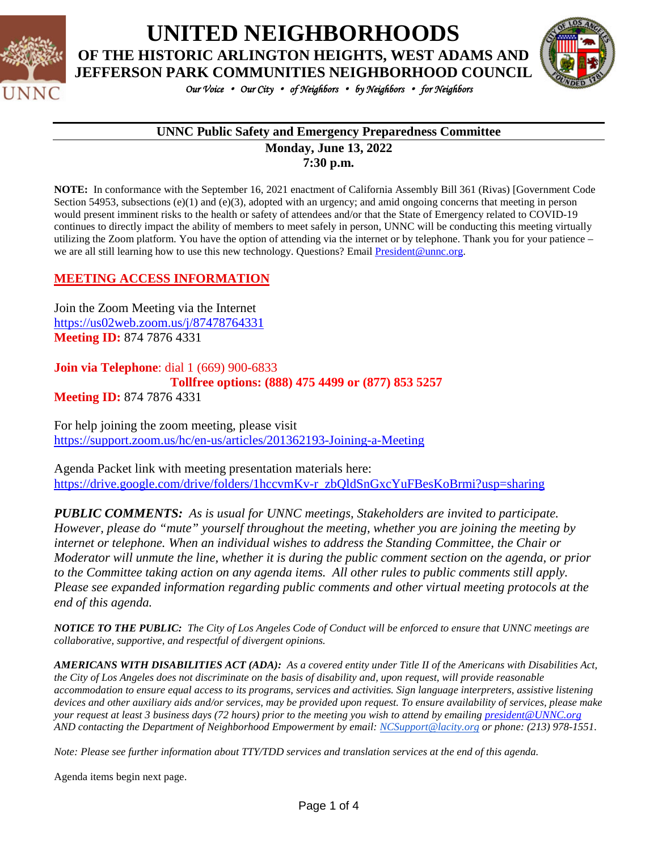

# **UNITED NEIGHBORHOODS OF THE HISTORIC ARLINGTON HEIGHTS, WEST ADAMS AND**



*Our Voice* • *Our City* • *of Neighbors* • *by Neighbors* • *for Neighbors* 

### **UNNC Public Safety and Emergency Preparedness Committee**

**Monday, June 13, 2022 7:30 p.m.**

**NOTE:** In conformance with the September 16, 2021 enactment of California Assembly Bill 361 (Rivas) [Government Code Section 54953, subsections (e)(1) and (e)(3), adopted with an urgency; and amid ongoing concerns that meeting in person would present imminent risks to the health or safety of attendees and/or that the State of Emergency related to COVID-19 continues to directly impact the ability of members to meet safely in person, UNNC will be conducting this meeting virtually utilizing the Zoom platform. You have the option of attending via the internet or by telephone. Thank you for your patience – we are all still learning how to use this new technology. Questions? Email [President@unnc.org.](mailto:President@unnc.org)

#### **MEETING ACCESS INFORMATION**

Join the Zoom Meeting via the Internet <https://us02web.zoom.us/j/87478764331> **Meeting ID:** 874 7876 4331

#### **Join via Telephone**: dial 1 (669) 900-6833 **Tollfree options: (888) 475 4499 or (877) 853 5257 Meeting ID:** 874 7876 4331

For help joining the zoom meeting, please visit <https://support.zoom.us/hc/en-us/articles/201362193-Joining-a-Meeting>

Agenda Packet link with meeting presentation materials here: [https://drive.google.com/drive/folders/1hccvmKv-r\\_zbQldSnGxcYuFBesKoBrmi?usp=sharing](https://drive.google.com/drive/folders/1hccvmKv-r_zbQldSnGxcYuFBesKoBrmi?usp=sharing)

*PUBLIC COMMENTS: As is usual for UNNC meetings, Stakeholders are invited to participate. However, please do "mute" yourself throughout the meeting, whether you are joining the meeting by internet or telephone. When an individual wishes to address the Standing Committee, the Chair or Moderator will unmute the line, whether it is during the public comment section on the agenda, or prior to the Committee taking action on any agenda items. All other rules to public comments still apply. Please see expanded information regarding public comments and other virtual meeting protocols at the end of this agenda.*

*NOTICE TO THE PUBLIC: The City of Los Angeles Code of Conduct will be enforced to ensure that UNNC meetings are collaborative, supportive, and respectful of divergent opinions.* 

*AMERICANS WITH DISABILITIES ACT (ADA): As a covered entity under Title II of the Americans with Disabilities Act, the City of Los Angeles does not discriminate on the basis of disability and, upon request, will provide reasonable accommodation to ensure equal access to its programs, services and activities. Sign language interpreters, assistive listening devices and other auxiliary aids and/or services, may be provided upon request. To ensure availability of services, please make your request at least 3 business days (72 hours) prior to the meeting you wish to attend by emailing [president@UNNC.org](mailto:president@UNNC.org) AND contacting the Department of Neighborhood Empowerment by email: [NCSupport@lacity.org](mailto:NCSupport@lacity.org) or phone: (213) 978-1551.*

*Note: Please see further information about TTY/TDD services and translation services at the end of this agenda.*

Agenda items begin next page.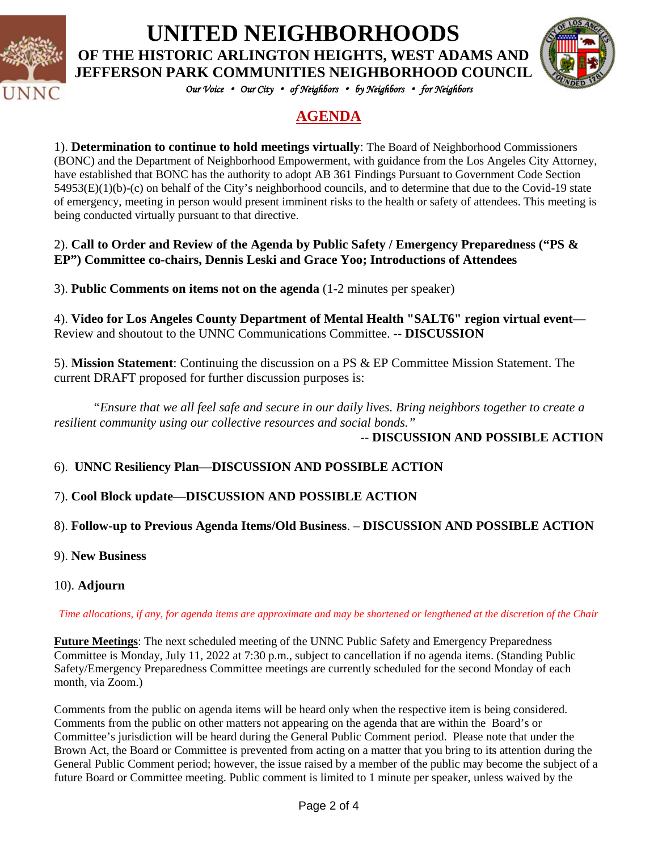

**UNITED NEIGHBORHOODS**

**OF THE HISTORIC ARLINGTON HEIGHTS, WEST ADAMS AND JEFFERSON PARK COMMUNITIES NEIGHBORHOOD COUNCIL**



*Our Voice* • *Our City* • *of Neighbors* • *by Neighbors* • *for Neighbors* 

# **AGENDA**

1). **Determination to continue to hold meetings virtually**: The Board of Neighborhood Commissioners (BONC) and the Department of Neighborhood Empowerment, with guidance from the Los Angeles City Attorney, have established that BONC has the authority to adopt AB 361 Findings Pursuant to Government Code Section 54953(E)(1)(b)-(c) on behalf of the City's neighborhood councils, and to determine that due to the Covid-19 state of emergency, meeting in person would present imminent risks to the health or safety of attendees. This meeting is being conducted virtually pursuant to that directive.

### 2). **Call to Order and Review of the Agenda by Public Safety / Emergency Preparedness ("PS & EP") Committee co-chairs, Dennis Leski and Grace Yoo; Introductions of Attendees**

3). **Public Comments on items not on the agenda** (1-2 minutes per speaker)

4). **Video for Los Angeles County Department of Mental Health "SALT6" region virtual event**— Review and shoutout to the UNNC Communications Committee. -- **DISCUSSION**

5). **Mission Statement**: Continuing the discussion on a PS & EP Committee Mission Statement. The current DRAFT proposed for further discussion purposes is:

*"Ensure that we all feel safe and secure in our daily lives. Bring neighbors together to create a resilient community using our collective resources and social bonds."* -- **DISCUSSION AND POSSIBLE ACTION**

# 6). **UNNC Resiliency Plan**—**DISCUSSION AND POSSIBLE ACTION**

# 7). **Cool Block update**—**DISCUSSION AND POSSIBLE ACTION**

# 8). **Follow-up to Previous Agenda Items/Old Business**. – **DISCUSSION AND POSSIBLE ACTION**

- 9). **New Business**
- 10). **Adjourn**

#### *Time allocations, if any, for agenda items are approximate and may be shortened or lengthened at the discretion of the Chair*

**Future Meetings**: The next scheduled meeting of the UNNC Public Safety and Emergency Preparedness Committee is Monday, July 11, 2022 at 7:30 p.m., subject to cancellation if no agenda items. (Standing Public Safety/Emergency Preparedness Committee meetings are currently scheduled for the second Monday of each month, via Zoom.)

Comments from the public on agenda items will be heard only when the respective item is being considered. Comments from the public on other matters not appearing on the agenda that are within the Board's or Committee's jurisdiction will be heard during the General Public Comment period. Please note that under the Brown Act, the Board or Committee is prevented from acting on a matter that you bring to its attention during the General Public Comment period; however, the issue raised by a member of the public may become the subject of a future Board or Committee meeting. Public comment is limited to 1 minute per speaker, unless waived by the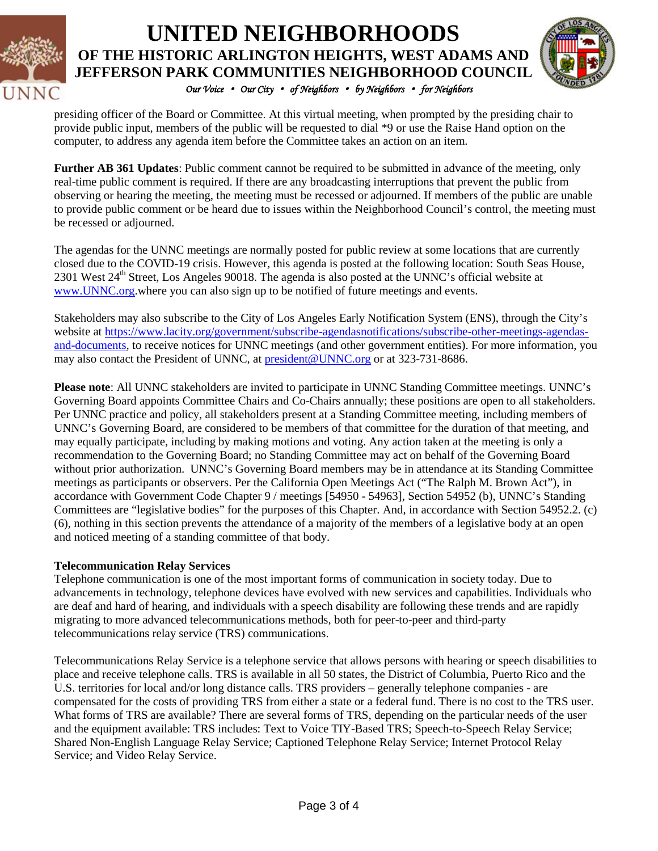

# *Our Voice* • *Our City* • *of Neighbors* • *by Neighbors* • *for Neighbors*  **UNITED NEIGHBORHOODS OF THE HISTORIC ARLINGTON HEIGHTS, WEST ADAMS AND JEFFERSON PARK COMMUNITIES NEIGHBORHOOD COUNCIL**



presiding officer of the Board or Committee. At this virtual meeting, when prompted by the presiding chair to provide public input, members of the public will be requested to dial \*9 or use the Raise Hand option on the computer, to address any agenda item before the Committee takes an action on an item.

**Further AB 361 Updates**: Public comment cannot be required to be submitted in advance of the meeting, only real-time public comment is required. If there are any broadcasting interruptions that prevent the public from observing or hearing the meeting, the meeting must be recessed or adjourned. If members of the public are unable to provide public comment or be heard due to issues within the Neighborhood Council's control, the meeting must be recessed or adjourned.

The agendas for the UNNC meetings are normally posted for public review at some locations that are currently closed due to the COVID-19 crisis. However, this agenda is posted at the following location: South Seas House, 2301 West 24<sup>th</sup> Street, Los Angeles 90018. The agenda is also posted at the UNNC's official website at [www.UNNC.org.](http://www.unnc.org/)where you can also sign up to be notified of future meetings and events.

Stakeholders may also subscribe to the City of Los Angeles Early Notification System (ENS), through the City's website at [https://www.lacity.org/government/subscribe-agendasnotifications/subscribe-other-meetings-agendas](https://www.lacity.org/government/subscribe-agendasnotifications/subscribe-other-meetings-agendas-and-documents)[and-documents,](https://www.lacity.org/government/subscribe-agendasnotifications/subscribe-other-meetings-agendas-and-documents) to receive notices for UNNC meetings (and other government entities). For more information, you may also contact the President of UNNC, at **president@UNNC.org** or at 323-731-8686.

**Please note**: All UNNC stakeholders are invited to participate in UNNC Standing Committee meetings. UNNC's Governing Board appoints Committee Chairs and Co-Chairs annually; these positions are open to all stakeholders. Per UNNC practice and policy, all stakeholders present at a Standing Committee meeting, including members of UNNC's Governing Board, are considered to be members of that committee for the duration of that meeting, and may equally participate, including by making motions and voting. Any action taken at the meeting is only a recommendation to the Governing Board; no Standing Committee may act on behalf of the Governing Board without prior authorization. UNNC's Governing Board members may be in attendance at its Standing Committee meetings as participants or observers. Per the California Open Meetings Act ("The Ralph M. Brown Act"), in accordance with Government Code Chapter 9 / meetings [54950 - 54963], Section 54952 (b), UNNC's Standing Committees are "legislative bodies" for the purposes of this Chapter. And, in accordance with Section 54952.2. (c) (6), nothing in this section prevents the attendance of a majority of the members of a legislative body at an open and noticed meeting of a standing committee of that body.

#### **Telecommunication Relay Services**

Telephone communication is one of the most important forms of communication in society today. Due to advancements in technology, telephone devices have evolved with new services and capabilities. Individuals who are deaf and hard of hearing, and individuals with a speech disability are following these trends and are rapidly migrating to more advanced telecommunications methods, both for peer-to-peer and third-party telecommunications relay service (TRS) communications.

Telecommunications Relay Service is a telephone service that allows persons with hearing or speech disabilities to place and receive telephone calls. TRS is available in all 50 states, the District of Columbia, Puerto Rico and the U.S. territories for local and/or long distance calls. TRS providers – generally telephone companies - are compensated for the costs of providing TRS from either a state or a federal fund. There is no cost to the TRS user. What forms of TRS are available? There are several forms of TRS, depending on the particular needs of the user and the equipment available: TRS includes: Text to Voice TIY-Based TRS; Speech-to-Speech Relay Service; Shared Non-English Language Relay Service; Captioned Telephone Relay Service; Internet Protocol Relay Service; and Video Relay Service.